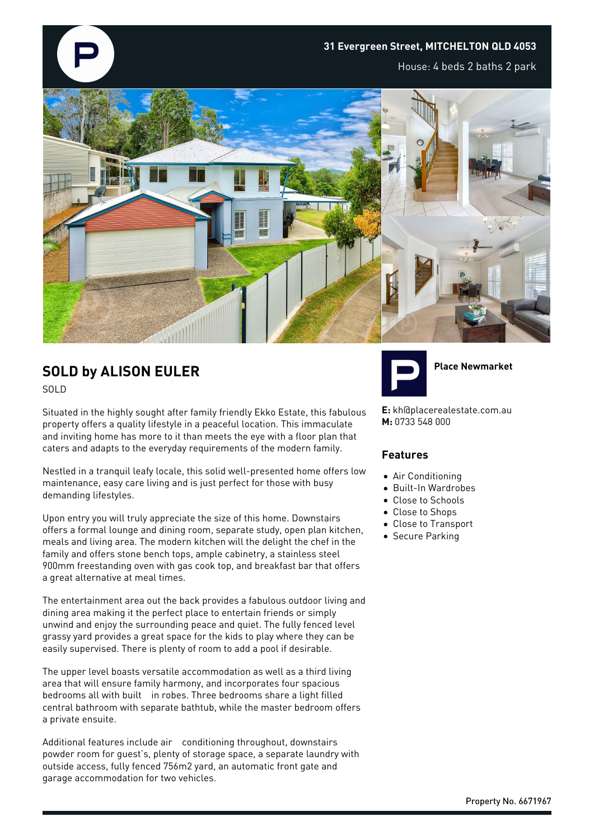

# **SOLD by ALISON EULER**

SOLD

Situated in the highly sought after family friendly Ekko Estate, this fabulous property offers a quality lifestyle in a peaceful location. This immaculate and inviting home has more to it than meets the eye with a floor plan that caters and adapts to the everyday requirements of the modern family.

Nestled in a tranquil leafy locale, this solid well-presented home offers low maintenance, easy care living and is just perfect for those with busy demanding lifestyles.

Upon entry you will truly appreciate the size of this home. Downstairs offers a formal lounge and dining room, separate study, open plan kitchen, meals and living area. The modern kitchen will the delight the chef in the family and offers stone bench tops, ample cabinetry, a stainless steel 900mm freestanding oven with gas cook top, and breakfast bar that offers a great alternative at meal times.

The entertainment area out the back provides a fabulous outdoor living and dining area making it the perfect place to entertain friends or simply unwind and enjoy the surrounding peace and quiet. The fully fenced level grassy yard provides a great space for the kids to play where they can be easily supervised. There is plenty of room to add a pool if desirable.

The upper level boasts versatile accommodation as well as a third living area that will ensure family harmony, and incorporates four spacious bedrooms all with built in robes. Three bedrooms share a light filled central bathroom with separate bathtub, while the master bedroom offers a private ensuite.

Additional features include air conditioning throughout, downstairs powder room for guest's, plenty of storage space, a separate laundry with outside access, fully fenced 756m2 yard, an automatic front gate and garage accommodation for two vehicles.



**Place Newmarket**

**E:** kh@placerealestate.com.au **M:** 0733 548 000

#### **Features**

- Air Conditioning
- Built-In Wardrobes
- Close to Schools
- Close to Shops
- Close to Transport
- **Secure Parking**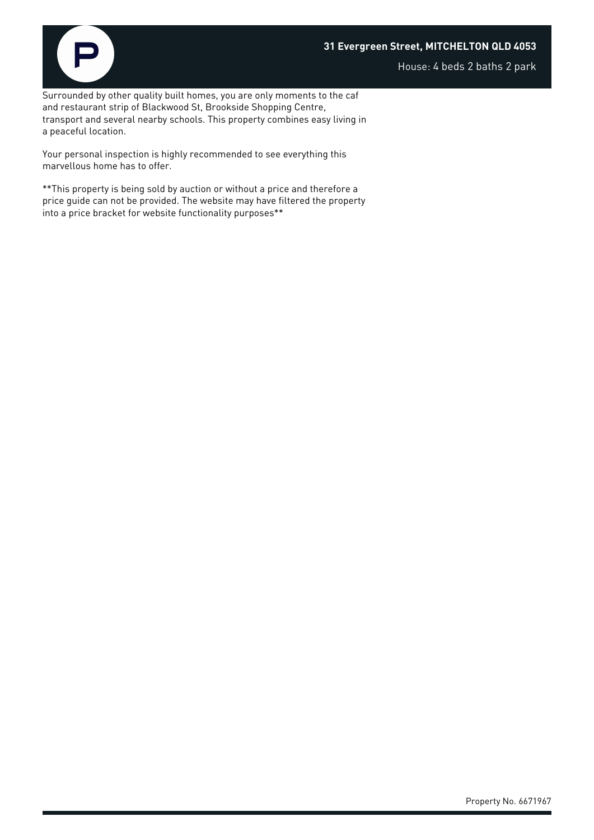#### **31 Evergreen Street, MITCHELTON QLD 4053**



House: 4 beds 2 baths 2 park

Surrounded by other quality built homes, you are only moments to the caf and restaurant strip of Blackwood St, Brookside Shopping Centre, transport and several nearby schools. This property combines easy living in a peaceful location.

Your personal inspection is highly recommended to see everything this marvellous home has to offer.

\*\*This property is being sold by auction or without a price and therefore a price guide can not be provided. The website may have filtered the property into a price bracket for website functionality purposes\*\*